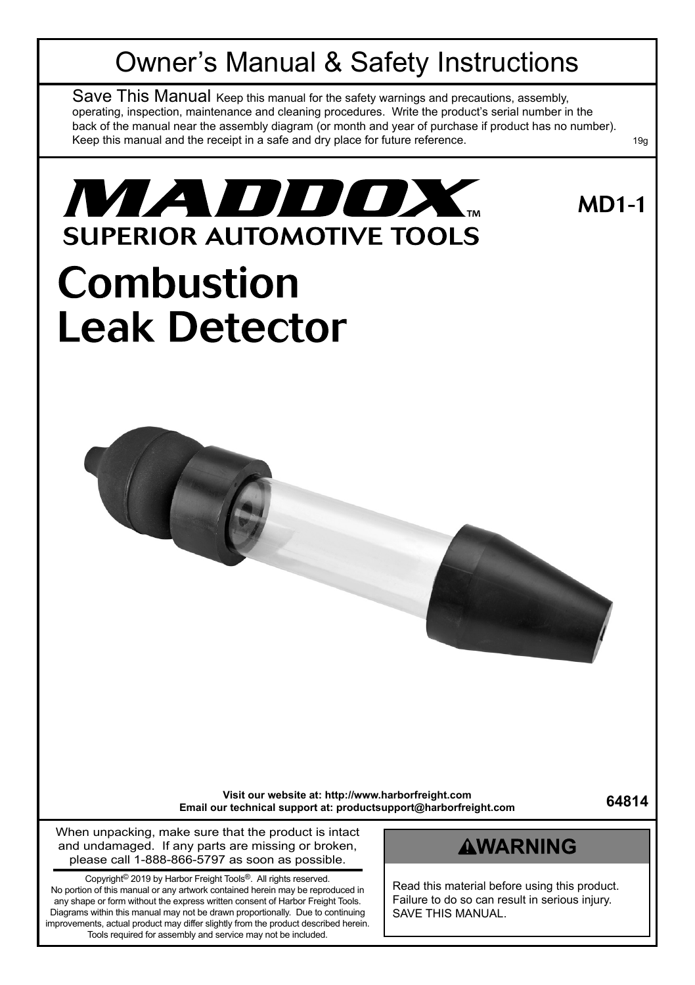## Owner's Manual & Safety Instructions

Save This Manual Keep this manual for the safety warnings and precautions, assembly, operating, inspection, maintenance and cleaning procedures. Write the product's serial number in the back of the manual near the assembly diagram (or month and year of purchase if product has no number). Keep this manual and the receipt in a safe and dry place for future reference. 19g

# MADDOX **SUPERIOR AUTOMOTIVE TOOLS Combustion Leak Detector**

**Visit our website at: http://www.harborfreight.com Email our technical support at: productsupport@harborfreight.com 64814**

 $MD1-1$ 

When unpacking, make sure that the product is intact and undamaged. If any parts are missing or broken, please call 1-888-866-5797 as soon as possible.

Copyright© 2019 by Harbor Freight Tools®. All rights reserved. No portion of this manual or any artwork contained herein may be reproduced in any shape or form without the express written consent of Harbor Freight Tools. Diagrams within this manual may not be drawn proportionally. Due to continuing improvements, actual product may differ slightly from the product described herein. Tools required for assembly and service may not be included.

#### **AWARNING**

Read this material before using this product. Failure to do so can result in serious injury. SAVE THIS MANUAL.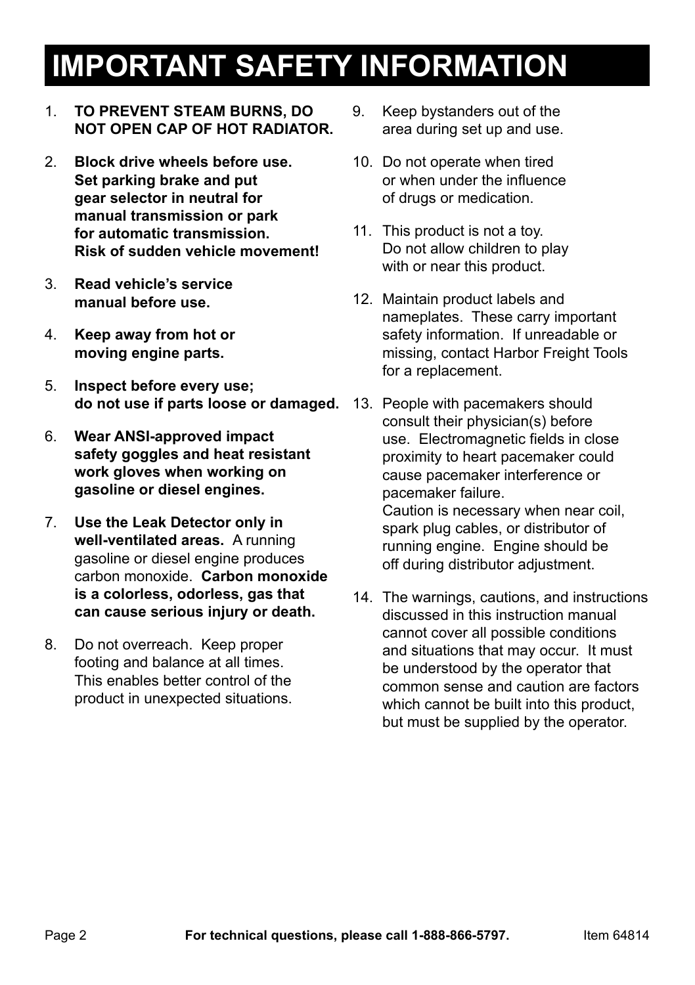# **IMPORTANT SAFETY INFORMATION**

- 1. **TO PREVENT STEAM BURNS, DO NOT OPEN CAP OF HOT RADIATOR.**
- 2. **Block drive wheels before use. Set parking brake and put gear selector in neutral for manual transmission or park for automatic transmission. Risk of sudden vehicle movement!**
- 3. **Read vehicle's service manual before use.**
- 4. **Keep away from hot or moving engine parts.**
- 5. **Inspect before every use; do not use if parts loose or damaged.** 13. People with pacemakers should
- 6. **Wear ANSI-approved impact safety goggles and heat resistant work gloves when working on gasoline or diesel engines.**
- 7. **Use the Leak Detector only in well-ventilated areas.** A running gasoline or diesel engine produces carbon monoxide. **Carbon monoxide is a colorless, odorless, gas that can cause serious injury or death.**
- 8. Do not overreach. Keep proper footing and balance at all times. This enables better control of the product in unexpected situations.
- 9. Keep bystanders out of the area during set up and use.
- 10. Do not operate when tired or when under the influence of drugs or medication.
- 11. This product is not a toy. Do not allow children to play with or near this product.
- 12. Maintain product labels and nameplates. These carry important safety information. If unreadable or missing, contact Harbor Freight Tools for a replacement.
- consult their physician(s) before use. Electromagnetic fields in close proximity to heart pacemaker could cause pacemaker interference or pacemaker failure. Caution is necessary when near coil, spark plug cables, or distributor of running engine. Engine should be off during distributor adjustment.
- 14. The warnings, cautions, and instructions discussed in this instruction manual cannot cover all possible conditions and situations that may occur. It must be understood by the operator that common sense and caution are factors which cannot be built into this product, but must be supplied by the operator.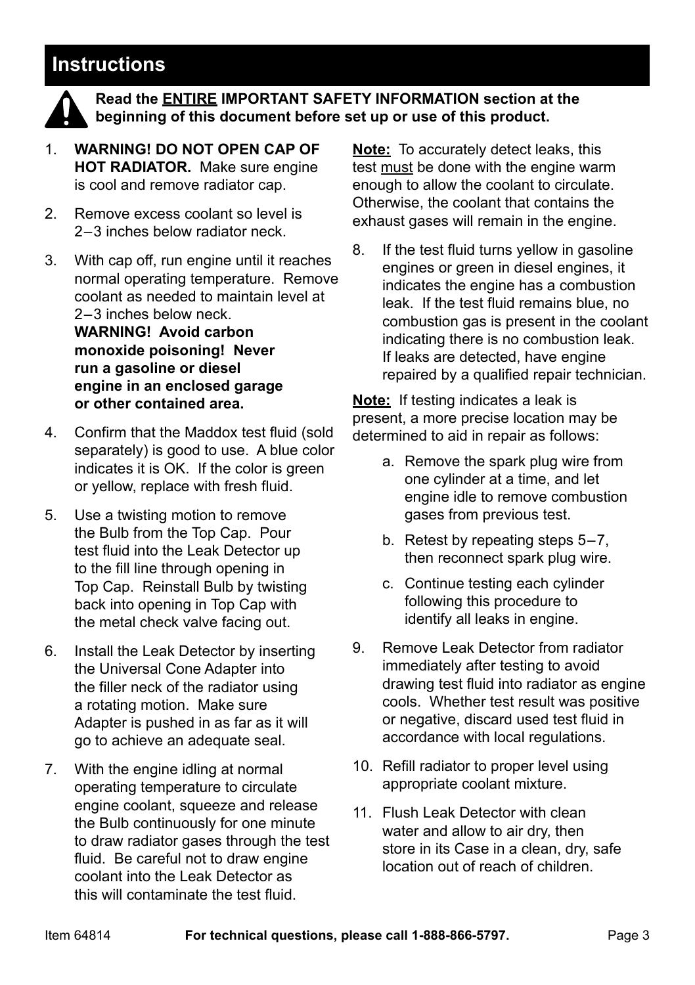#### **Instructions**



**Read the ENTIRE IMPORTANT SAFETY INFORMATION section at the beginning of this document before set up or use of this product.**

- 1. **WARNING! DO NOT OPEN CAP OF HOT RADIATOR.** Make sure engine is cool and remove radiator cap.
- 2. Remove excess coolant so level is 2 – 3 inches below radiator neck.
- 3. With cap off, run engine until it reaches normal operating temperature. Remove coolant as needed to maintain level at 2 – 3 inches below neck. **WARNING! Avoid carbon monoxide poisoning! Never run a gasoline or diesel engine in an enclosed garage or other contained area.**
- 4. Confirm that the Maddox test fluid (sold separately) is good to use. A blue color indicates it is OK. If the color is green or yellow, replace with fresh fluid.
- 5. Use a twisting motion to remove the Bulb from the Top Cap. Pour test fluid into the Leak Detector up to the fill line through opening in Top Cap. Reinstall Bulb by twisting back into opening in Top Cap with the metal check valve facing out.
- 6. Install the Leak Detector by inserting the Universal Cone Adapter into the filler neck of the radiator using a rotating motion. Make sure Adapter is pushed in as far as it will go to achieve an adequate seal.
- 7. With the engine idling at normal operating temperature to circulate engine coolant, squeeze and release the Bulb continuously for one minute to draw radiator gases through the test fluid. Be careful not to draw engine coolant into the Leak Detector as this will contaminate the test fluid.

**Note:** To accurately detect leaks, this test must be done with the engine warm enough to allow the coolant to circulate. Otherwise, the coolant that contains the exhaust gases will remain in the engine.

8. If the test fluid turns yellow in gasoline engines or green in diesel engines, it indicates the engine has a combustion leak. If the test fluid remains blue, no combustion gas is present in the coolant indicating there is no combustion leak. If leaks are detected, have engine repaired by a qualified repair technician.

**Note:** If testing indicates a leak is present, a more precise location may be determined to aid in repair as follows:

- a. Remove the spark plug wire from one cylinder at a time, and let engine idle to remove combustion gases from previous test.
- b. Retest by repeating steps 5–7, then reconnect spark plug wire.
- c. Continue testing each cylinder following this procedure to identify all leaks in engine.
- 9. Remove Leak Detector from radiator immediately after testing to avoid drawing test fluid into radiator as engine cools. Whether test result was positive or negative, discard used test fluid in accordance with local regulations.
- 10. Refill radiator to proper level using appropriate coolant mixture.
- 11. Flush Leak Detector with clean water and allow to air dry, then store in its Case in a clean, dry, safe location out of reach of children.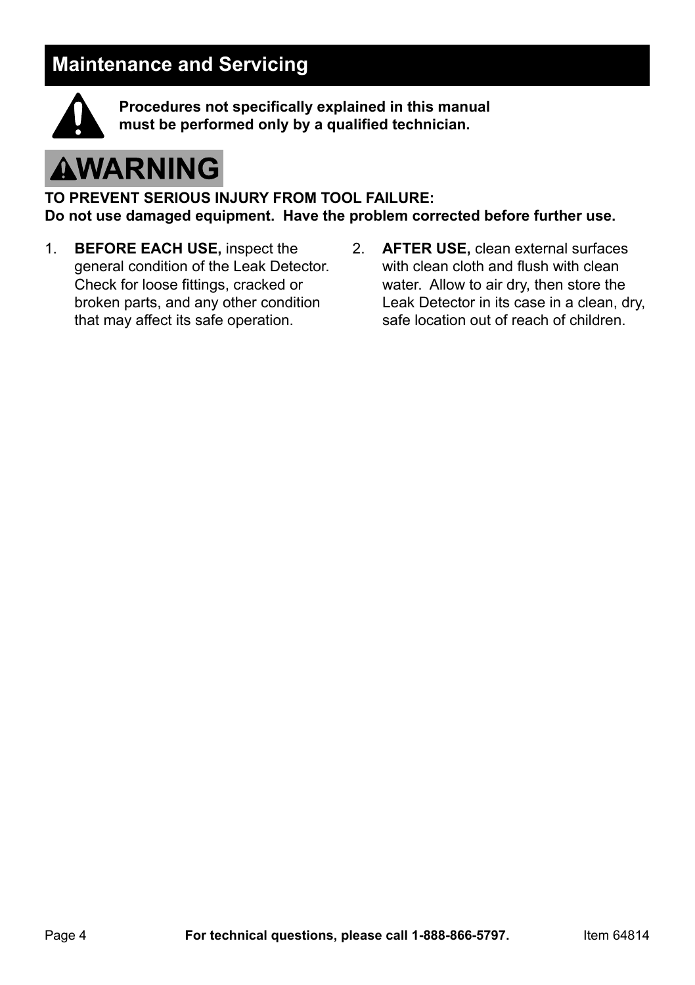#### **Maintenance and Servicing**



**Procedures not specifically explained in this manual must be performed only by a qualified technician.**

# **AWARNING**

**TO PREVENT SERIOUS INJURY FROM TOOL FAILURE: Do not use damaged equipment. Have the problem corrected before further use.**

- 1. **BEFORE EACH USE,** inspect the general condition of the Leak Detector. Check for loose fittings, cracked or broken parts, and any other condition that may affect its safe operation.
- 2. **AFTER USE,** clean external surfaces with clean cloth and flush with clean water. Allow to air dry, then store the Leak Detector in its case in a clean, dry, safe location out of reach of children.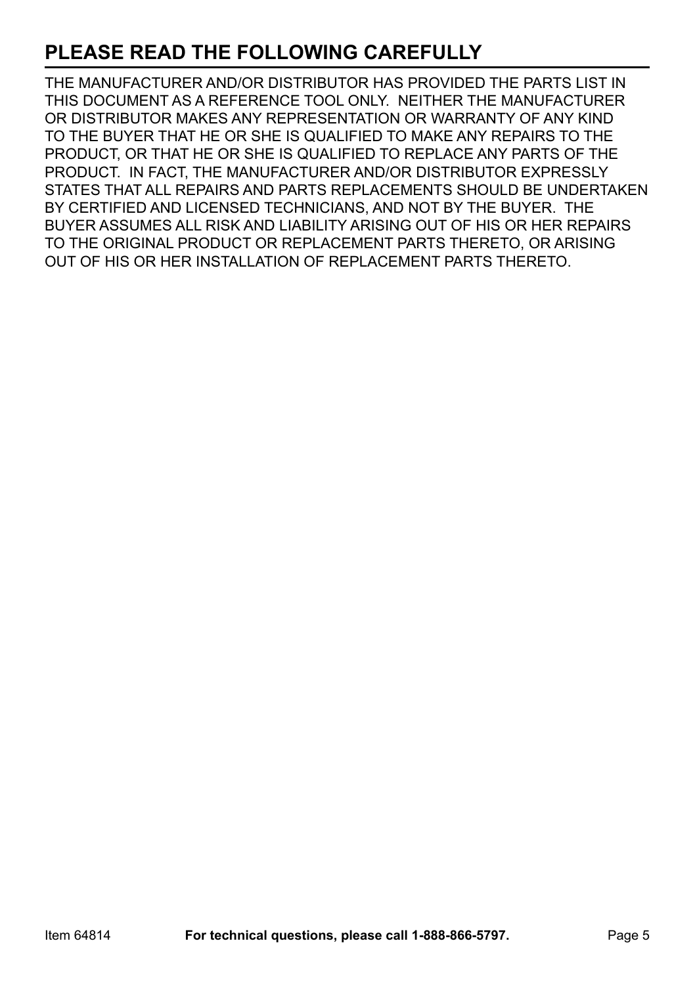#### **PLEASE READ THE FOLLOWING CAREFULLY**

THE MANUFACTURER AND/OR DISTRIBUTOR HAS PROVIDED THE PARTS LIST IN THIS DOCUMENT AS A REFERENCE TOOL ONLY. NEITHER THE MANUFACTURER OR DISTRIBUTOR MAKES ANY REPRESENTATION OR WARRANTY OF ANY KIND TO THE BUYER THAT HE OR SHE IS QUALIFIED TO MAKE ANY REPAIRS TO THE PRODUCT, OR THAT HE OR SHE IS QUALIFIED TO REPLACE ANY PARTS OF THE PRODUCT. IN FACT, THE MANUFACTURER AND/OR DISTRIBUTOR EXPRESSLY STATES THAT ALL REPAIRS AND PARTS REPLACEMENTS SHOULD BE UNDERTAKEN BY CERTIFIED AND LICENSED TECHNICIANS, AND NOT BY THE BUYER. THE BUYER ASSUMES ALL RISK AND LIABILITY ARISING OUT OF HIS OR HER REPAIRS TO THE ORIGINAL PRODUCT OR REPLACEMENT PARTS THERETO, OR ARISING OUT OF HIS OR HER INSTALLATION OF REPLACEMENT PARTS THERETO.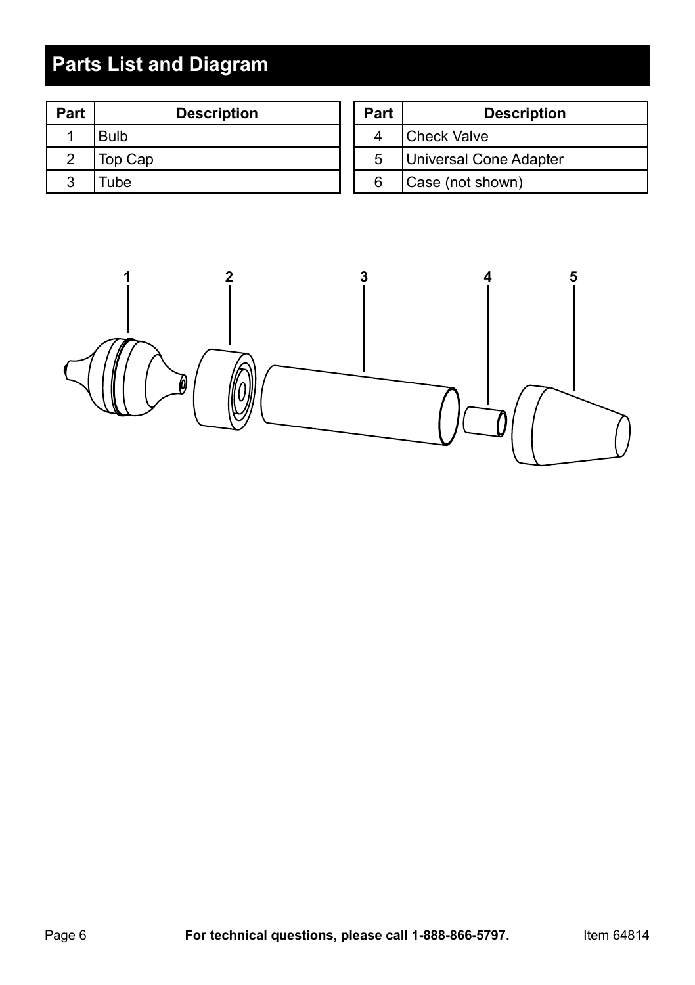### **Parts List and Diagram**

| Part | <b>Description</b> |
|------|--------------------|
|      | <b>Bulb</b>        |
| 2    | Top Cap            |
| 3    | Tube               |

| Part | <b>Description</b>     |
|------|------------------------|
|      | <b>I</b> Check Valve   |
| 5    | Universal Cone Adapter |
| 6    | Case (not shown)       |

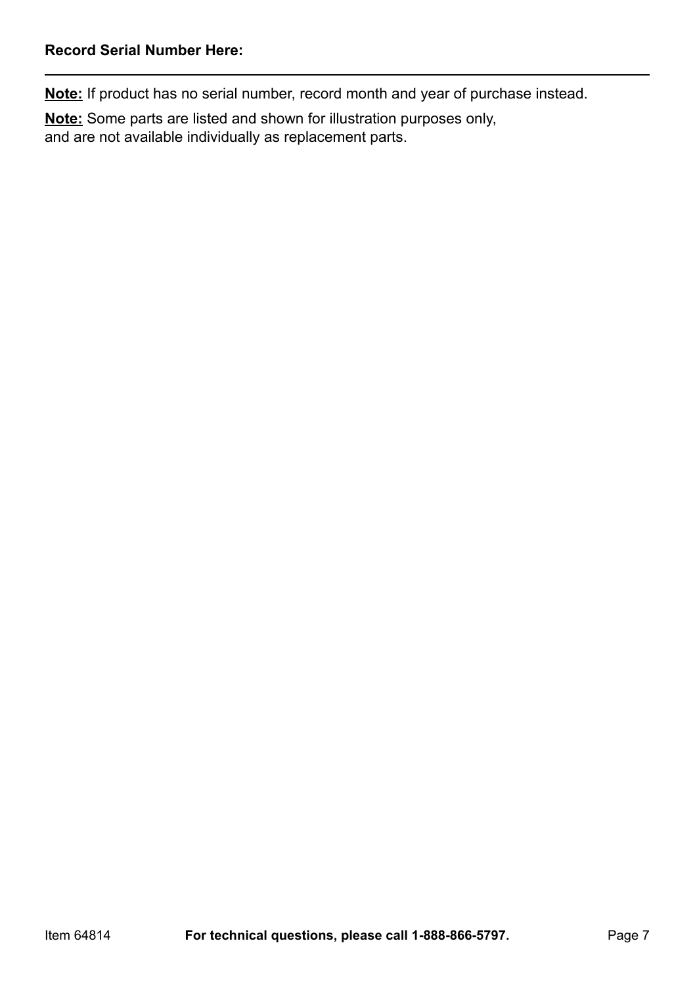**Note:** If product has no serial number, record month and year of purchase instead.

**Note:** Some parts are listed and shown for illustration purposes only, and are not available individually as replacement parts.